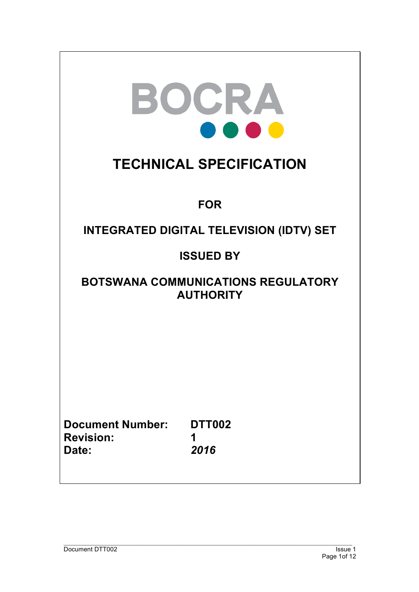|                                                      | BOCRA<br><b>TECHNICAL SPECIFICATION</b>                       |
|------------------------------------------------------|---------------------------------------------------------------|
|                                                      | <b>FOR</b>                                                    |
|                                                      | <b>INTEGRATED DIGITAL TELEVISION (IDTV) SET</b>               |
|                                                      | <b>ISSUED BY</b>                                              |
|                                                      | <b>BOTSWANA COMMUNICATIONS REGULATORY</b><br><b>AUTHORITY</b> |
|                                                      |                                                               |
|                                                      |                                                               |
|                                                      |                                                               |
| <b>Document Number:</b><br><b>Revision:</b><br>Date: | <b>DTT002</b><br>1<br>2016                                    |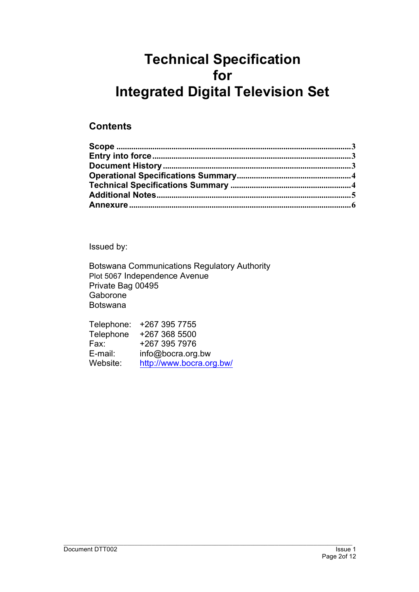# **Technical Specification for Integrated Digital Television Set**

## **Contents**

Issued by:

Botswana Communications Regulatory Authority Plot 5067 Independence Avenue Private Bag 00495 Gaborone Botswana

| Telephone: | +267 395 7755            |
|------------|--------------------------|
| Telephone  | +267 368 5500            |
| Fax:       | +267 395 7976            |
| E-mail:    | info@bocra.org.bw        |
| Website:   | http://www.bocra.org.bw/ |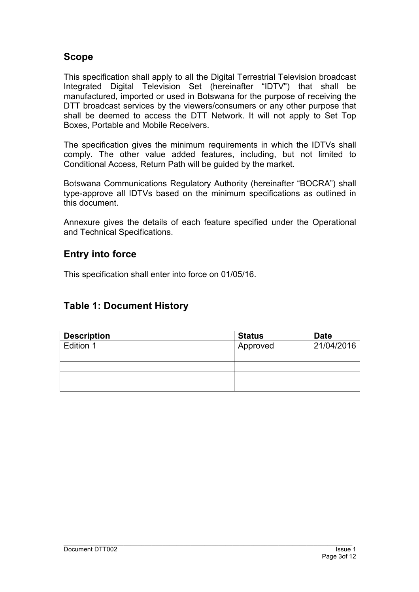## **Scope**

This specification shall apply to all the Digital Terrestrial Television broadcast Integrated Digital Television Set (hereinafter "IDTV") that shall be manufactured, imported or used in Botswana for the purpose of receiving the DTT broadcast services by the viewers/consumers or any other purpose that shall be deemed to access the DTT Network. It will not apply to Set Top Boxes, Portable and Mobile Receivers.

The specification gives the minimum requirements in which the IDTVs shall comply. The other value added features, including, but not limited to Conditional Access, Return Path will be guided by the market.

Botswana Communications Regulatory Authority (hereinafter "BOCRA") shall type-approve all IDTVs based on the minimum specifications as outlined in this document.

Annexure gives the details of each feature specified under the Operational and Technical Specifications.

## **Entry into force**

This specification shall enter into force on 01/05/16.

## **Table 1: Document History**

| <b>Description</b> | <b>Status</b> | <b>Date</b> |
|--------------------|---------------|-------------|
| Edition 1          | Approved      | 21/04/2016  |
|                    |               |             |
|                    |               |             |
|                    |               |             |
|                    |               |             |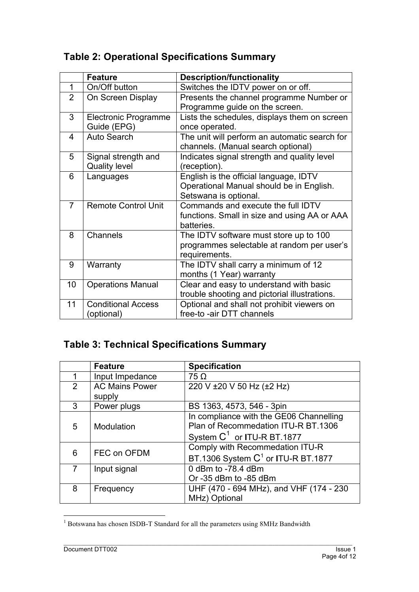## **Table 2: Operational Specifications Summary**

|                | <b>Feature</b>              | <b>Description/functionality</b>              |
|----------------|-----------------------------|-----------------------------------------------|
| $\mathbf 1$    | On/Off button               | Switches the IDTV power on or off.            |
| $\overline{2}$ | On Screen Display           | Presents the channel programme Number or      |
|                |                             | Programme guide on the screen.                |
| 3              | <b>Electronic Programme</b> | Lists the schedules, displays them on screen  |
|                | Guide (EPG)                 | once operated.                                |
| 4              | <b>Auto Search</b>          | The unit will perform an automatic search for |
|                |                             | channels. (Manual search optional)            |
| 5              | Signal strength and         | Indicates signal strength and quality level   |
|                | <b>Quality level</b>        | (reception).                                  |
| 6              | Languages                   | English is the official language, IDTV        |
|                |                             | Operational Manual should be in English.      |
|                |                             | Setswana is optional.                         |
| $\overline{7}$ | <b>Remote Control Unit</b>  | Commands and execute the full IDTV            |
|                |                             | functions. Small in size and using AA or AAA  |
|                |                             | batteries.                                    |
| 8              | Channels                    | The IDTV software must store up to 100        |
|                |                             | programmes selectable at random per user's    |
|                |                             | requirements.                                 |
| 9              | Warranty                    | The IDTV shall carry a minimum of 12          |
|                |                             | months (1 Year) warranty                      |
| 10             | <b>Operations Manual</b>    | Clear and easy to understand with basic       |
|                |                             | trouble shooting and pictorial illustrations. |
| 11             | <b>Conditional Access</b>   | Optional and shall not prohibit viewers on    |
|                | (optional)                  | free-to -air DTT channels                     |

## **Table 3: Technical Specifications Summary**

|   | <b>Feature</b>                  | <b>Specification</b>                                                                                                     |
|---|---------------------------------|--------------------------------------------------------------------------------------------------------------------------|
|   | Input Impedance                 | $75 \Omega$                                                                                                              |
| 2 | <b>AC Mains Power</b><br>supply | 220 V ±20 V 50 Hz (±2 Hz)                                                                                                |
| 3 | Power plugs                     | BS 1363, 4573, 546 - 3pin                                                                                                |
| 5 | Modulation                      | In compliance with the GE06 Channelling<br>Plan of Recommedation ITU-R BT.1306<br>System C <sup>1</sup> or ITU-R BT.1877 |
| 6 | FEC on OFDM                     | Comply with Recommedation ITU-R<br>BT.1306 System C <sup>1</sup> or ITU-R BT.1877                                        |
|   | Input signal                    | 0 dBm to -78.4 dBm<br>Or -35 dBm to -85 dBm                                                                              |
| 8 | Frequency                       | UHF (470 - 694 MHz), and VHF (174 - 230<br>MHz) Optional                                                                 |

<sup>&</sup>lt;sup>1</sup> Botswana has chosen ISDB-T Standard for all the parameters using 8MHz Bandwidth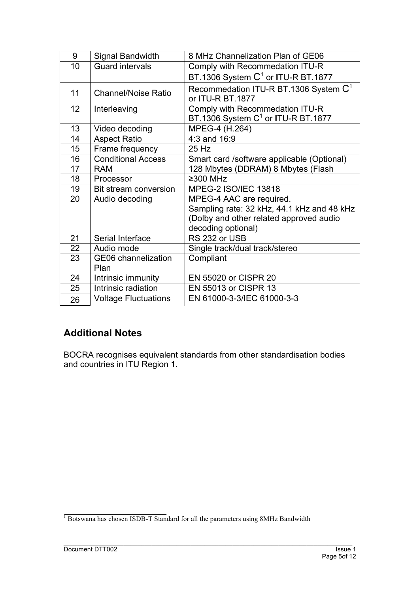| 9  | Signal Bandwidth                   | 8 MHz Channelization Plan of GE06                                                                                                       |
|----|------------------------------------|-----------------------------------------------------------------------------------------------------------------------------------------|
| 10 | <b>Guard intervals</b>             | Comply with Recommedation ITU-R                                                                                                         |
|    |                                    | BT.1306 System $C^1$ or ITU-R BT.1877                                                                                                   |
| 11 | <b>Channel/Noise Ratio</b>         | Recommedation ITU-R BT.1306 System $C1$<br>or ITU-R BT.1877                                                                             |
| 12 | Interleaving                       | Comply with Recommedation ITU-R<br>BT.1306 System C <sup>1</sup> or ITU-R BT.1877                                                       |
| 13 | Video decoding                     | MPEG-4 (H.264)                                                                                                                          |
| 14 | <b>Aspect Ratio</b>                | 4:3 and 16:9                                                                                                                            |
| 15 | Frame frequency                    | 25 Hz                                                                                                                                   |
| 16 | <b>Conditional Access</b>          | Smart card /software applicable (Optional)                                                                                              |
| 17 | <b>RAM</b>                         | 128 Mbytes (DDRAM) 8 Mbytes (Flash                                                                                                      |
| 18 | Processor                          | ≥300 MHz                                                                                                                                |
| 19 | Bit stream conversion              | MPEG-2 ISO/IEC 13818                                                                                                                    |
| 20 | Audio decoding                     | MPEG-4 AAC are required.<br>Sampling rate: 32 kHz, 44.1 kHz and 48 kHz<br>(Dolby and other related approved audio<br>decoding optional) |
| 21 | Serial Interface                   | RS 232 or USB                                                                                                                           |
| 22 | Audio mode                         | Single track/dual track/stereo                                                                                                          |
| 23 | <b>GE06</b> channelization<br>Plan | Compliant                                                                                                                               |
| 24 | Intrinsic immunity                 | EN 55020 or CISPR 20                                                                                                                    |
| 25 | Intrinsic radiation                | EN 55013 or CISPR 13                                                                                                                    |
| 26 | <b>Voltage Fluctuations</b>        | EN 61000-3-3/IEC 61000-3-3                                                                                                              |

## **Additional Notes**

BOCRA recognises equivalent standards from other standardisation bodies and countries in ITU Region 1.

<sup>&</sup>lt;sup>1</sup> Botswana has chosen ISDB-T Standard for all the parameters using 8MHz Bandwidth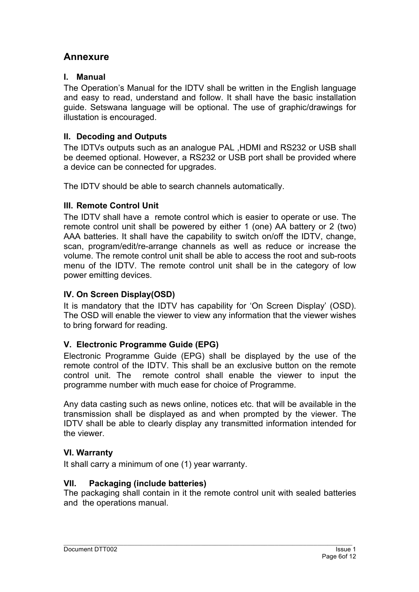## **Annexure**

#### **I. Manual**

The Operation's Manual for the IDTV shall be written in the English language and easy to read, understand and follow. It shall have the basic installation guide. Setswana language will be optional. The use of graphic/drawings for illustation is encouraged.

## **II. Decoding and Outputs**

The IDTVs outputs such as an analogue PAL ,HDMI and RS232 or USB shall be deemed optional. However, a RS232 or USB port shall be provided where a device can be connected for upgrades.

The IDTV should be able to search channels automatically.

## **III. Remote Control Unit**

The IDTV shall have a remote control which is easier to operate or use. The remote control unit shall be powered by either 1 (one) AA battery or 2 (two) AAA batteries. It shall have the capability to switch on/off the IDTV, change, scan, program/edit/re-arrange channels as well as reduce or increase the volume. The remote control unit shall be able to access the root and sub-roots menu of the IDTV. The remote control unit shall be in the category of low power emitting devices.

## **IV. On Screen Display(OSD)**

It is mandatory that the IDTV has capability for 'On Screen Display' (OSD). The OSD will enable the viewer to view any information that the viewer wishes to bring forward for reading.

## **V. Electronic Programme Guide (EPG)**

Electronic Programme Guide (EPG) shall be displayed by the use of the remote control of the IDTV. This shall be an exclusive button on the remote control unit. The remote control shall enable the viewer to input the programme number with much ease for choice of Programme.

Any data casting such as news online, notices etc. that will be available in the transmission shall be displayed as and when prompted by the viewer. The IDTV shall be able to clearly display any transmitted information intended for the viewer.

## **VI. Warranty**

It shall carry a minimum of one (1) year warranty.

## **VII. Packaging (include batteries)**

The packaging shall contain in it the remote control unit with sealed batteries and the operations manual.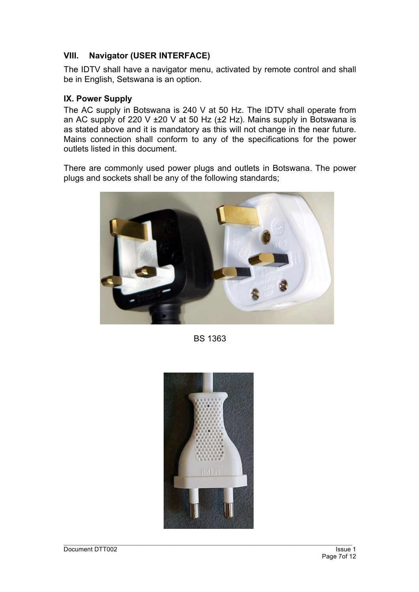#### **VIII. Navigator (USER INTERFACE)**

The IDTV shall have a navigator menu, activated by remote control and shall be in English, Setswana is an option.

#### **IX. Power Supply**

The AC supply in Botswana is 240 V at 50 Hz. The IDTV shall operate from an AC supply of 220 V  $\pm$ 20 V at 50 Hz ( $\pm$ 2 Hz). Mains supply in Botswana is as stated above and it is mandatory as this will not change in the near future. Mains connection shall conform to any of the specifications for the power outlets listed in this document.

There are commonly used power plugs and outlets in Botswana. The power plugs and sockets shall be any of the following standards;



BS 1363

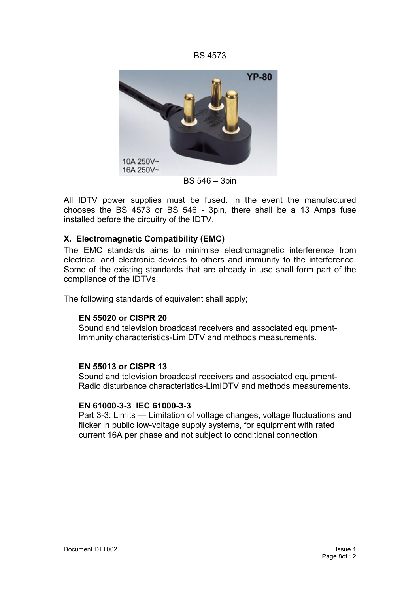BS 4573



BS 546 – 3pin

All IDTV power supplies must be fused. In the event the manufactured chooses the BS 4573 or BS 546 - 3pin, there shall be a 13 Amps fuse installed before the circuitry of the IDTV.

#### **X. Electromagnetic Compatibility (EMC)**

The EMC standards aims to minimise electromagnetic interference from electrical and electronic devices to others and immunity to the interference. Some of the existing standards that are already in use shall form part of the compliance of the IDTVs.

The following standards of equivalent shall apply;

#### **EN 55020 or CISPR 20**

Sound and television broadcast receivers and associated equipment-Immunity characteristics-LimIDTV and methods measurements.

#### **EN 55013 or CISPR 13**

Sound and television broadcast receivers and associated equipment-Radio disturbance characteristics-LimIDTV and methods measurements.

#### **EN 61000-3-3 IEC 61000-3-3**

Part 3-3: Limits — Limitation of voltage changes, voltage fluctuations and flicker in public low-voltage supply systems, for equipment with rated current 16A per phase and not subject to conditional connection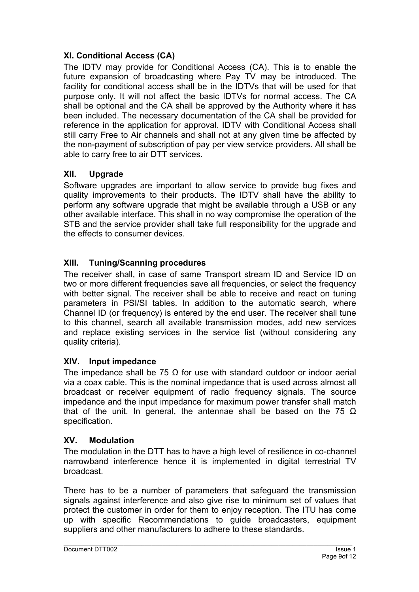## **XI. Conditional Access (CA)**

The IDTV may provide for Conditional Access (CA). This is to enable the future expansion of broadcasting where Pay TV may be introduced. The facility for conditional access shall be in the IDTVs that will be used for that purpose only. It will not affect the basic IDTVs for normal access. The CA shall be optional and the CA shall be approved by the Authority where it has been included. The necessary documentation of the CA shall be provided for reference in the application for approval. IDTV with Conditional Access shall still carry Free to Air channels and shall not at any given time be affected by the non-payment of subscription of pay per view service providers. All shall be able to carry free to air DTT services.

## **XII. Upgrade**

Software upgrades are important to allow service to provide bug fixes and quality improvements to their products. The IDTV shall have the ability to perform any software upgrade that might be available through a USB or any other available interface. This shall in no way compromise the operation of the STB and the service provider shall take full responsibility for the upgrade and the effects to consumer devices.

## **XIII. Tuning/Scanning procedures**

The receiver shall, in case of same Transport stream ID and Service ID on two or more different frequencies save all frequencies, or select the frequency with better signal. The receiver shall be able to receive and react on tuning parameters in PSI/SI tables. In addition to the automatic search, where Channel ID (or frequency) is entered by the end user. The receiver shall tune to this channel, search all available transmission modes, add new services and replace existing services in the service list (without considering any quality criteria).

## **XIV. Input impedance**

The impedance shall be 75  $\Omega$  for use with standard outdoor or indoor aerial via a coax cable. This is the nominal impedance that is used across almost all broadcast or receiver equipment of radio frequency signals. The source impedance and the input impedance for maximum power transfer shall match that of the unit. In general, the antennae shall be based on the 75  $\Omega$ specification.

## **XV. Modulation**

The modulation in the DTT has to have a high level of resilience in co-channel narrowband interference hence it is implemented in digital terrestrial TV broadcast.

There has to be a number of parameters that safeguard the transmission signals against interference and also give rise to minimum set of values that protect the customer in order for them to enjoy reception. The ITU has come up with specific Recommendations to guide broadcasters, equipment suppliers and other manufacturers to adhere to these standards.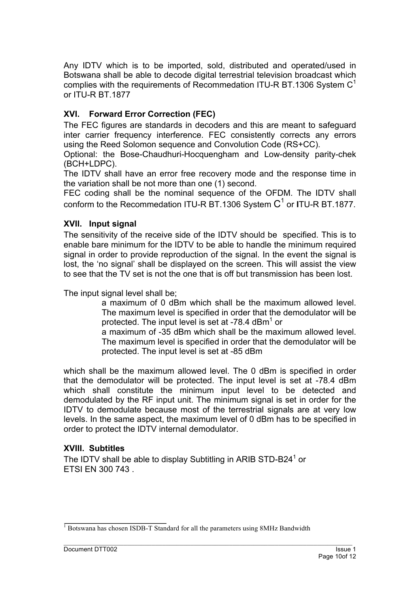Any IDTV which is to be imported, sold, distributed and operated/used in Botswana shall be able to decode digital terrestrial television broadcast which complies with the requirements of Recommedation ITU-R BT.1306 System  $C<sup>1</sup>$ or ITU-R BT.1877

## **XVI. Forward Error Correction (FEC)**

The FEC figures are standards in decoders and this are meant to safeguard inter carrier frequency interference. FEC consistently corrects any errors using the Reed Solomon sequence and Convolution Code (RS+CC).

Optional: the Bose-Chaudhuri-Hocquengham and Low-density parity-chek (BCH+LDPC).

The IDTV shall have an error free recovery mode and the response time in the variation shall be not more than one (1) second.

FEC coding shall be the nominal sequence of the OFDM. The IDTV shall conform to the Recommedation ITU-R BT.1306 System C<sup>1</sup> or ITU-R BT.1877.

#### **XVII. Input signal**

The sensitivity of the receive side of the IDTV should be specified. This is to enable bare minimum for the IDTV to be able to handle the minimum required signal in order to provide reproduction of the signal. In the event the signal is lost, the 'no signal' shall be displayed on the screen. This will assist the view to see that the TV set is not the one that is off but transmission has been lost.

The input signal level shall be;

a maximum of 0 dBm which shall be the maximum allowed level. The maximum level is specified in order that the demodulator will be protected. The input level is set at  $-78.4$  dBm<sup>1</sup> or

a maximum of -35 dBm which shall be the maximum allowed level. The maximum level is specified in order that the demodulator will be protected. The input level is set at -85 dBm

which shall be the maximum allowed level. The 0 dBm is specified in order that the demodulator will be protected. The input level is set at -78.4 dBm which shall constitute the minimum input level to be detected and demodulated by the RF input unit. The minimum signal is set in order for the IDTV to demodulate because most of the terrestrial signals are at very low levels. In the same aspect, the maximum level of 0 dBm has to be specified in order to protect the IDTV internal demodulator.

## **XVIII. Subtitles**

The IDTV shall be able to display Subtitling in ARIB STD-B24<sup>1</sup> or ETSI EN 300 743 .

<sup>&</sup>lt;sup>1</sup> Botswana has chosen ISDB-T Standard for all the parameters using 8MHz Bandwidth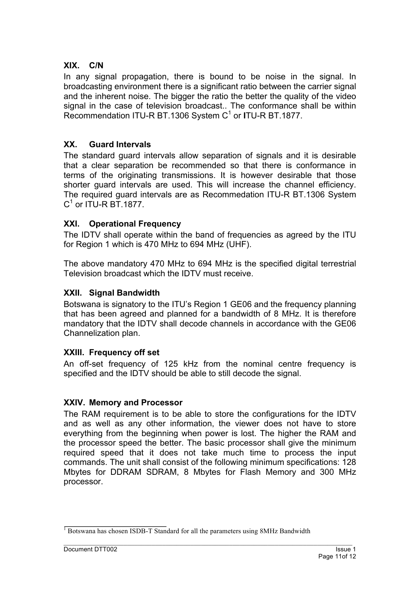#### **XIX. C/N**

In any signal propagation, there is bound to be noise in the signal. In broadcasting environment there is a significant ratio between the carrier signal and the inherent noise. The bigger the ratio the better the quality of the video signal in the case of television broadcast.. The conformance shall be within Recommendation ITU-R BT.1306 System C<sup>1</sup> or **I**TU-R BT.1877.

## **XX. Guard Intervals**

The standard guard intervals allow separation of signals and it is desirable that a clear separation be recommended so that there is conformance in terms of the originating transmissions. It is however desirable that those shorter guard intervals are used. This will increase the channel efficiency. The required guard intervals are as Recommedation ITU-R BT.1306 System  $C^1$  or ITU-R BT. 1877.

#### **XXI. Operational Frequency**

The IDTV shall operate within the band of frequencies as agreed by the ITU for Region 1 which is 470 MHz to 694 MHz (UHF).

The above mandatory 470 MHz to 694 MHz is the specified digital terrestrial Television broadcast which the IDTV must receive.

#### **XXII. Signal Bandwidth**

Botswana is signatory to the ITU's Region 1 GE06 and the frequency planning that has been agreed and planned for a bandwidth of 8 MHz. It is therefore mandatory that the IDTV shall decode channels in accordance with the GE06 Channelization plan.

## **XXIII. Frequency off set**

An off-set frequency of 125 kHz from the nominal centre frequency is specified and the IDTV should be able to still decode the signal.

#### **XXIV. Memory and Processor**

The RAM requirement is to be able to store the configurations for the IDTV and as well as any other information, the viewer does not have to store everything from the beginning when power is lost. The higher the RAM and the processor speed the better. The basic processor shall give the minimum required speed that it does not take much time to process the input commands. The unit shall consist of the following minimum specifications: 128 Mbytes for DDRAM SDRAM, 8 Mbytes for Flash Memory and 300 MHz processor.

<sup>&</sup>lt;sup>1</sup> Botswana has chosen ISDB-T Standard for all the parameters using 8MHz Bandwidth